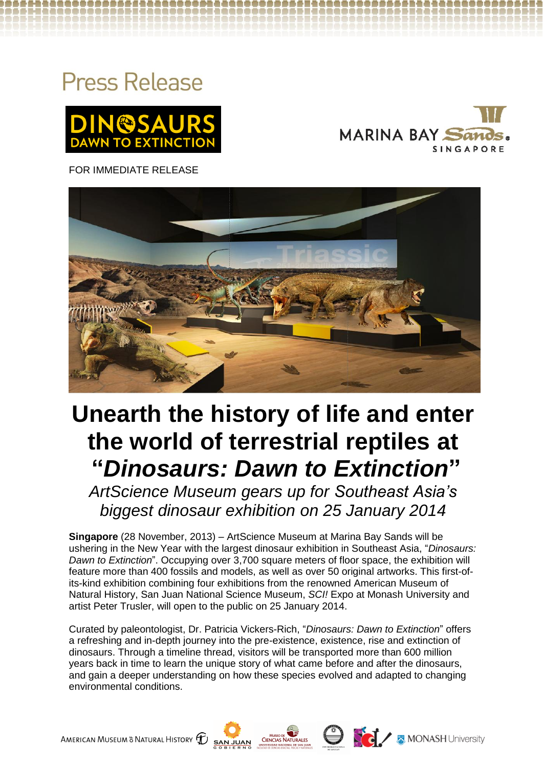## **Press Release**





FOR IMMEDIATE RELEASE



# **Unearth the history of life and enter the world of terrestrial reptiles at "***Dinosaurs: Dawn to Extinction***"**

*ArtScience Museum gears up for Southeast Asia's biggest dinosaur exhibition on 25 January 2014*

**Singapore** (28 November, 2013) – ArtScience Museum at Marina Bay Sands will be ushering in the New Year with the largest dinosaur exhibition in Southeast Asia, "*Dinosaurs: Dawn to Extinction*". Occupying over 3,700 square meters of floor space, the exhibition will feature more than 400 fossils and models, as well as over 50 original artworks. This first-ofits-kind exhibition combining four exhibitions from the renowned American Museum of Natural History, San Juan National Science Museum, *SCI!* Expo at Monash University and artist Peter Trusler, will open to the public on 25 January 2014.

Curated by paleontologist, Dr. Patricia Vickers-Rich, "*Dinosaurs: Dawn to Extinction*" offers a refreshing and in-depth journey into the pre-existence, existence, rise and extinction of dinosaurs. Through a timeline thread, visitors will be transported more than 600 million years back in time to learn the unique story of what came before and after the dinosaurs, and gain a deeper understanding on how these species evolved and adapted to changing environmental conditions.





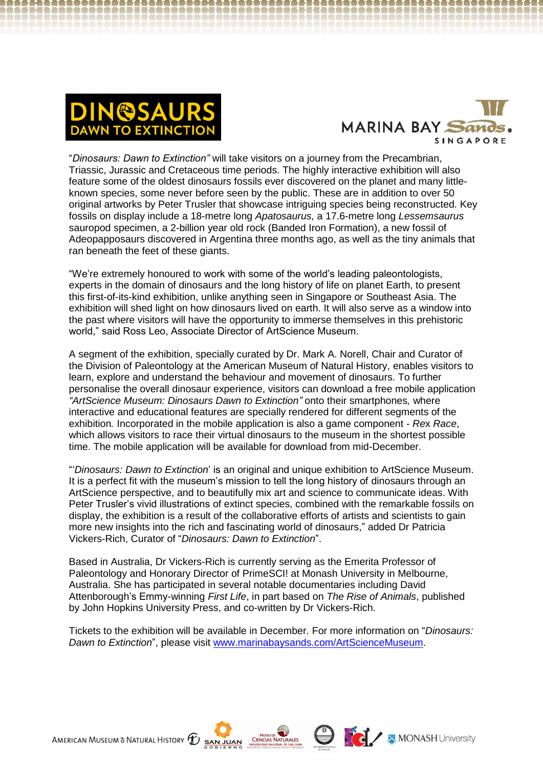



"*Dinosaurs: Dawn to Extinction"* will take visitors on a journey from the Precambrian, Triassic, Jurassic and Cretaceous time periods. The highly interactive exhibition will also feature some of the oldest dinosaurs fossils ever discovered on the planet and many littleknown species, some never before seen by the public. These are in addition to over 50 original artworks by Peter Trusler that showcase intriguing species being reconstructed. Key fossils on display include a 18-metre long *Apatosaurus,* a 17.6-metre long *Lessemsaurus*  sauropod specimen, a 2-billion year old rock (Banded Iron Formation), a new fossil of Adeopapposaurs discovered in Argentina three months ago, as well as the tiny animals that ran beneath the feet of these giants.

"We're extremely honoured to work with some of the world's leading paleontologists, experts in the domain of dinosaurs and the long history of life on planet Earth, to present this first-of-its-kind exhibition, unlike anything seen in Singapore or Southeast Asia. The exhibition will shed light on how dinosaurs lived on earth. It will also serve as a window into the past where visitors will have the opportunity to immerse themselves in this prehistoric world," said Ross Leo, Associate Director of ArtScience Museum.

A segment of the exhibition, specially curated by Dr. Mark A. Norell, Chair and Curator of the Division of Paleontology at the American Museum of Natural History, enables visitors to learn, explore and understand the behaviour and movement of dinosaurs. To further personalise the overall dinosaur experience, visitors can download a free mobile application *"ArtScience Museum: Dinosaurs Dawn to Extinction"* onto their smartphones*,* where interactive and educational features are specially rendered for different segments of the exhibition*.* Incorporated in the mobile application is also a game component - *Re*x *Race*, which allows visitors to race their virtual dinosaurs to the museum in the shortest possible time. The mobile application will be available for download from mid-December.

"'*Dinosaurs: Dawn to Extinction*' is an original and unique exhibition to ArtScience Museum. It is a perfect fit with the museum's mission to tell the long history of dinosaurs through an ArtScience perspective, and to beautifully mix art and science to communicate ideas. With Peter Trusler's vivid illustrations of extinct species, combined with the remarkable fossils on display, the exhibition is a result of the collaborative efforts of artists and scientists to gain more new insights into the rich and fascinating world of dinosaurs," added Dr Patricia Vickers-Rich, Curator of "*Dinosaurs: Dawn to Extinction*".

Based in Australia, Dr Vickers-Rich is currently serving as the Emerita Professor of Paleontology and Honorary Director of PrimeSCI! at Monash University in Melbourne, Australia. She has participated in several notable documentaries including David Attenborough's Emmy-winning *First Life*, in part based on *The Rise of Animals*, published by John Hopkins University Press, and co-written by Dr Vickers-Rich.

Tickets to the exhibition will be available in December. For more information on "*Dinosaurs: Dawn to Extinction*", please visit [www.marinabaysands.com/ArtScienceMuseum.](http://www.marinabaysands.com/ArtScienceMuseum)





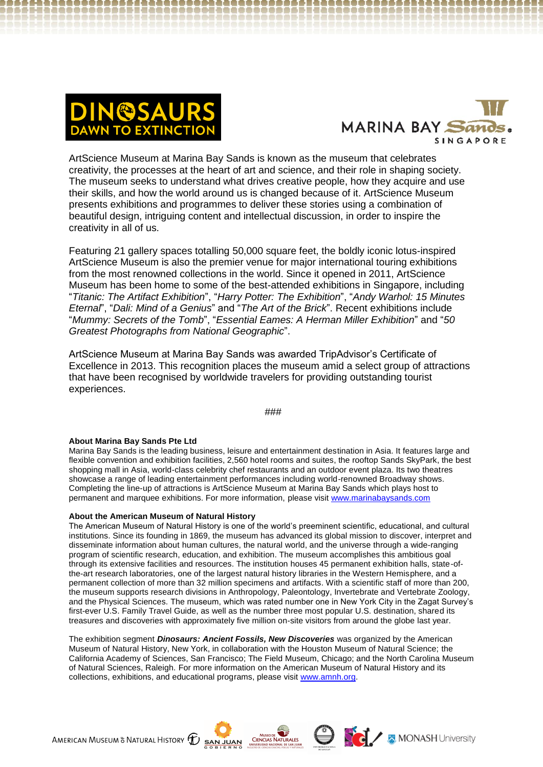



ArtScience Museum at Marina Bay Sands is known as the museum that celebrates creativity, the processes at the heart of art and science, and their role in shaping society. The museum seeks to understand what drives creative people, how they acquire and use their skills, and how the world around us is changed because of it. ArtScience Museum presents exhibitions and programmes to deliver these stories using a combination of beautiful design, intriguing content and intellectual discussion, in order to inspire the creativity in all of us.

Featuring 21 gallery spaces totalling 50,000 square feet, the boldly iconic lotus-inspired ArtScience Museum is also the premier venue for major international touring exhibitions from the most renowned collections in the world. Since it opened in 2011, ArtScience Museum has been home to some of the best-attended exhibitions in Singapore, including "*Titanic: The Artifact Exhibition*", "*Harry Potter: The Exhibition*", "*Andy Warhol: 15 Minutes Eternal*", "*Dali: Mind of a Genius*" and "*The Art of the Brick*". Recent exhibitions include "*Mummy: Secrets of the Tomb*", "*Essential Eames: A Herman Miller Exhibition*" and "*50 Greatest Photographs from National Geographic*".

ArtScience Museum at Marina Bay Sands was awarded TripAdvisor's Certificate of Excellence in 2013. This recognition places the museum amid a select group of attractions that have been recognised by worldwide travelers for providing outstanding tourist experiences.

###

## **About Marina Bay Sands Pte Ltd**

Marina Bay Sands is the leading business, leisure and entertainment destination in Asia. It features large and flexible convention and exhibition facilities, 2,560 hotel rooms and suites, the rooftop Sands SkyPark, the best shopping mall in Asia, world-class celebrity chef restaurants and an outdoor event plaza. Its two theatres showcase a range of leading entertainment performances including world-renowned Broadway shows. Completing the line-up of attractions is ArtScience Museum at Marina Bay Sands which plays host to permanent and marquee exhibitions. For more information, please visit [www.marinabaysands.com](http://www.marinabaysands.com/)

## **About the American Museum of Natural History**

The American Museum of Natural History is one of the world's preeminent scientific, educational, and cultural institutions. Since its founding in 1869, the museum has advanced its global mission to discover, interpret and disseminate information about human cultures, the natural world, and the universe through a wide-ranging program of scientific research, education, and exhibition. The museum accomplishes this ambitious goal through its extensive facilities and resources. The institution houses 45 permanent exhibition halls, state-ofthe-art research laboratories, one of the largest natural history libraries in the Western Hemisphere, and a permanent collection of more than 32 million specimens and artifacts. With a scientific staff of more than 200, the museum supports research divisions in Anthropology, Paleontology, Invertebrate and Vertebrate Zoology, and the Physical Sciences. The museum, which was rated number one in New York City in the Zagat Survey's first-ever U.S. Family Travel Guide, as well as the number three most popular U.S. destination, shared its treasures and discoveries with approximately five million on-site visitors from around the globe last year.

The exhibition segment *Dinosaurs: Ancient Fossils, New Discoveries* was organized by the American Museum of Natural History, New York, in collaboration with the Houston Museum of Natural Science; the California Academy of Sciences, San Francisco; The Field Museum, Chicago; and the North Carolina Museum of Natural Sciences, Raleigh. For more information on the American Museum of Natural History and its collections, exhibitions, and educational programs, please visit [www.amnh.org.](http://www.amnh.org/)